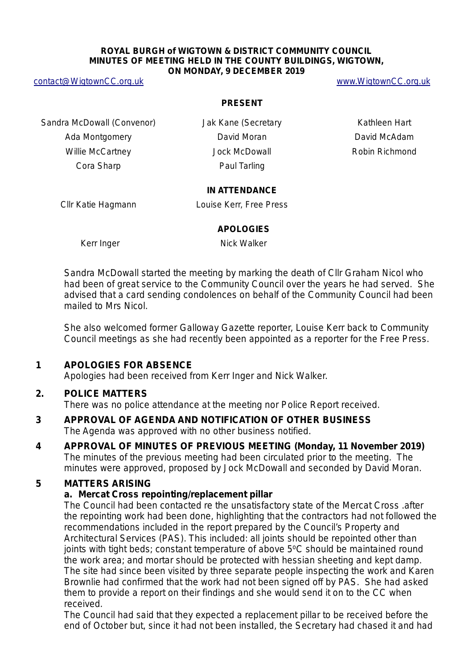#### **ROYAL BURGH of WIGTOWN & DISTRICT COMMUNITY COUNCIL MINUTES OF MEETING HELD IN THE COUNTY BUILDINGS, WIGTOWN, ON MONDAY, 9 DECEMBER 2019**

[contact@WigtownCC.org.uk](mailto:contact@WigtownCC.org.uk) [www.WigtownCC.org.uk](http://www.wigtowncc.org.uk/)

#### **PRESENT**

Sandra McDowall (Convenor) **Jak Kane (Secretary Kathleen Hart** 

Ada Montgomery **David Moran** David Moran David McAdam Willie McCartney **McCartney** Jock McDowall **Robin Richmond** Cora Sharp **Paul Tarling** 

#### **IN ATTENDANCE**

Cllr Katie Hagmann Louise Kerr, Free Press

#### **APOLOGIES**

Kerr Inger Nick Walker

Sandra McDowall started the meeting by marking the death of Cllr Graham Nicol who had been of great service to the Community Council over the years he had served. She advised that a card sending condolences on behalf of the Community Council had been mailed to Mrs Nicol.

She also welcomed former Galloway Gazette reporter, Louise Kerr back to Community Council meetings as she had recently been appointed as a reporter for the Free Press.

# **1 APOLOGIES FOR ABSENCE**

Apologies had been received from Kerr Inger and Nick Walker.

# **2. POLICE MATTERS**

There was no police attendance at the meeting nor Police Report received.

### **3 APPROVAL OF AGENDA AND NOTIFICATION OF OTHER BUSINESS** The Agenda was approved with no other business notified.

**4 APPROVAL OF MINUTES OF PREVIOUS MEETING (Monday, 11 November 2019)** The minutes of the previous meeting had been circulated prior to the meeting. The minutes were approved, proposed by Jock McDowall and seconded by David Moran.

# **5 MATTERS ARISING**

# **a. Mercat Cross repointing/replacement pillar**

The Council had been contacted re the unsatisfactory state of the Mercat Cross .after the repointing work had been done, highlighting that the contractors had not followed the recommendations included in the report prepared by the Council's Property and Architectural Services (PAS). This included: all joints should be repointed other than joints with tight beds; constant temperature of above  $5^{\circ}$ C should be maintained round the work area; and mortar should be protected with hessian sheeting and kept damp. The site had since been visited by three separate people inspecting the work and Karen Brownlie had confirmed that the work had not been signed off by PAS. She had asked them to provide a report on their findings and she would send it on to the CC when received.

The Council had said that they expected a replacement pillar to be received before the end of October but, since it had not been installed, the Secretary had chased it and had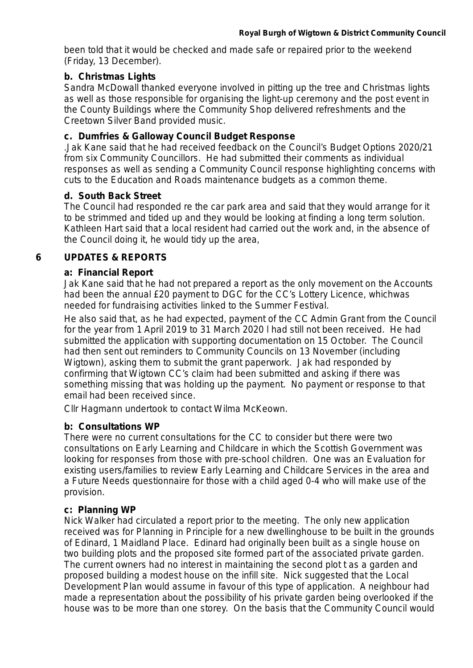been told that it would be checked and made safe or repaired prior to the weekend (Friday, 13 December).

### **b. Christmas Lights**

Sandra McDowall thanked everyone involved in pitting up the tree and Christmas lights as well as those responsible for organising the light-up ceremony and the post event in the County Buildings where the Community Shop delivered refreshments and the Creetown Silver Band provided music.

### **c. Dumfries & Galloway Council Budget Response**

.Jak Kane said that he had received feedback on the Council's Budget Options 2020/21 from six Community Councillors. He had submitted their comments as individual responses as well as sending a Community Council response highlighting concerns with cuts to the Education and Roads maintenance budgets as a common theme.

### **d. South Back Street**

The Council had responded re the car park area and said that they would arrange for it to be strimmed and tided up and they would be looking at finding a long term solution. Kathleen Hart said that a local resident had carried out the work and, in the absence of the Council doing it, he would tidy up the area,

# **6 UPDATES & REPORTS**

#### **a: Financial Report**

Jak Kane said that he had not prepared a report as the only movement on the Accounts had been the annual £20 payment to DGC for the CC's Lottery Licence, whichwas needed for fundraising activities linked to the Summer Festival.

He also said that, as he had expected, payment of the CC Admin Grant from the Council for the year from 1 April 2019 to 31 March 2020 l had still not been received. He had submitted the application with supporting documentation on 15 October. The Council had then sent out reminders to Community Councils on 13 November (including Wigtown), asking them to submit the grant paperwork. Jak had responded by confirming that Wigtown CC's claim had been submitted and asking if there was something missing that was holding up the payment. No payment or response to that email had been received since.

Cllr Hagmann undertook to contact Wilma McKeown.

# **b: Consultations WP**

There were no current consultations for the CC to consider but there were two consultations on Early Learning and Childcare in which the Scottish Government was looking for responses from those with pre-school children. One was an Evaluation for existing users/families to review Early Learning and Childcare Services in the area and a Future Needs questionnaire for those with a child aged 0-4 who will make use of the provision.

#### **c: Planning WP**

Nick Walker had circulated a report prior to the meeting. The only new application received was for Planning in Principle for a new dwellinghouse to be built in the grounds of Edinard, 1 Maidland Place. Edinard had originally been built as a single house on two building plots and the proposed site formed part of the associated private garden. The current owners had no interest in maintaining the second plot t as a garden and proposed building a modest house on the infill site. Nick suggested that the Local Development Plan would assume in favour of this type of application. A neighbour had made a representation about the possibility of his private garden being overlooked if the house was to be more than one storey. On the basis that the Community Council would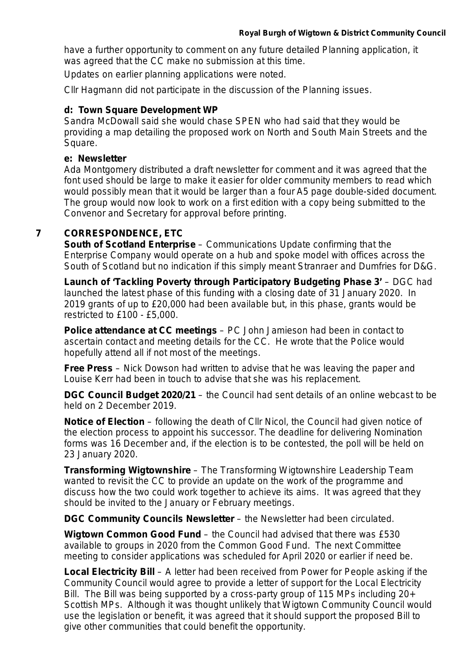have a further opportunity to comment on any future detailed Planning application, it was agreed that the CC make no submission at this time.

Updates on earlier planning applications were noted.

Cllr Hagmann did not participate in the discussion of the Planning issues.

#### **d: Town Square Development WP**

Sandra McDowall said she would chase SPEN who had said that they would be providing a map detailing the proposed work on North and South Main Streets and the Square.

#### **e: Newsletter**

Ada Montgomery distributed a draft newsletter for comment and it was agreed that the font used should be large to make it easier for older community members to read which would possibly mean that it would be larger than a four A5 page double-sided document. The group would now look to work on a first edition with a copy being submitted to the Convenor and Secretary for approval before printing.

### **7 CORRESPONDENCE, ETC**

*South of Scotland Enterprise* – Communications Update confirming that the Enterprise Company would operate on a hub and spoke model with offices across the South of Scotland but no indication if this simply meant Stranraer and Dumfries for D&G.

*Launch of 'Tackling Poverty through Participatory Budgeting Phase 3'* – DGC had launched the latest phase of this funding with a closing date of 31 January 2020. In 2019 grants of up to £20,000 had been available but, in this phase, grants would be restricted to £100 - £5,000.

*Police attendance at CC meetings* – PC John Jamieson had been in contact to ascertain contact and meeting details for the CC. He wrote that the Police would hopefully attend all if not most of the meetings.

*Free Press* – Nick Dowson had written to advise that he was leaving the paper and Louise Kerr had been in touch to advise that she was his replacement.

*DGC Council Budget 2020/21* – the Council had sent details of an online webcast to be held on 2 December 2019.

*Notice of Election* – following the death of Cllr Nicol, the Council had given notice of the election process to appoint his successor. The deadline for delivering Nomination forms was 16 December and, if the election is to be contested, the poll will be held on 23 January 2020.

*Transforming Wigtownshire* – The Transforming Wigtownshire Leadership Team wanted to revisit the CC to provide an update on the work of the programme and discuss how the two could work together to achieve its aims. It was agreed that they should be invited to the January or February meetings.

*DGC Community Councils Newsletter* – the Newsletter had been circulated.

*Wigtown Common Good Fund* – the Council had advised that there was £530 available to groups in 2020 from the Common Good Fund. The next Committee meeting to consider applications was scheduled for April 2020 or earlier if need be.

**Local Electricity Bill** – A letter had been received from Power for People asking if the Community Council would agree to provide a letter of support for the Local Electricity Bill. The Bill was being supported by a cross-party group of 115 MPs including 20+ Scottish MPs. Although it was thought unlikely that Wigtown Community Council would use the legislation or benefit, it was agreed that it should support the proposed Bill to give other communities that could benefit the opportunity.